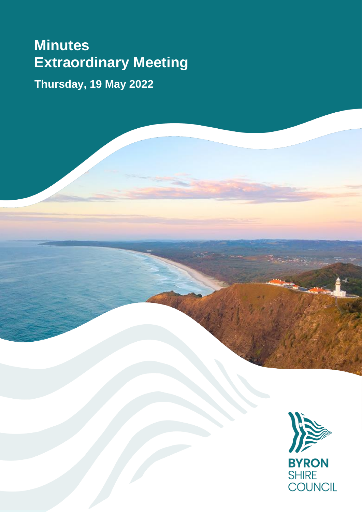# **Minutes Extraordinary Meeting**

**Thursday, 19 May 2022**

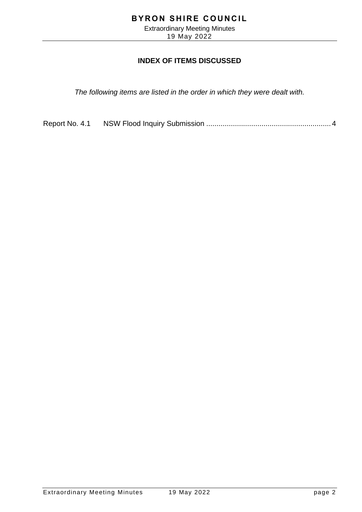Extraordinary Meeting Minutes 19 May 2022

#### **INDEX OF ITEMS DISCUSSED**

*The following items are listed in the order in which they were dealt with.*

Report No. 4.1 NSW Flood Inquiry Submission [.............................................................](#page-3-0) 4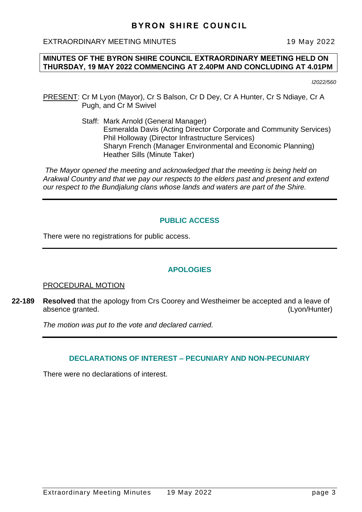EXTRAORDINARY MEETING MINUTES 19 May 2022

#### **MINUTES OF THE BYRON SHIRE COUNCIL EXTRAORDINARY MEETING HELD ON THURSDAY, 19 MAY 2022 COMMENCING AT 2.40PM AND CONCLUDING AT 4.01PM**

*I2022/560*

- PRESENT: Cr M Lyon (Mayor), Cr S Balson, Cr D Dey, Cr A Hunter, Cr S Ndiaye, Cr A Pugh, and Cr M Swivel
	- Staff: Mark Arnold (General Manager) Esmeralda Davis (Acting Director Corporate and Community Services) Phil Holloway (Director Infrastructure Services) Sharyn French (Manager Environmental and Economic Planning) Heather Sills (Minute Taker)

*The Mayor opened the meeting and acknowledged that the meeting is being held on Arakwal Country and that we pay our respects to the elders past and present and extend our respect to the Bundjalung clans whose lands and waters are part of the Shire.*

#### **PUBLIC ACCESS**

There were no registrations for public access.

#### **APOLOGIES**

#### PROCEDURAL MOTION

**22-189 Resolved** that the apology from Crs Coorey and Westheimer be accepted and a leave of absence granted. (Lyon/Hunter)

*The motion was put to the vote and declared carried.*

#### **DECLARATIONS OF INTEREST – PECUNIARY AND NON-PECUNIARY**

There were no declarations of interest.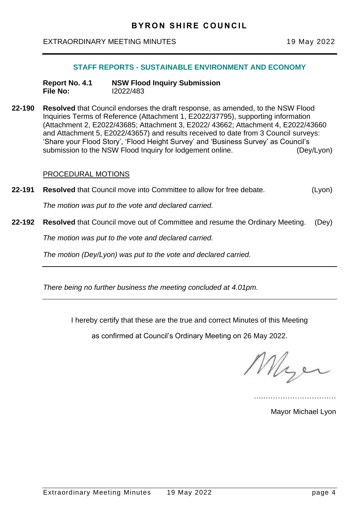#### <span id="page-3-0"></span>EXTRAORDINARY MEETING MINUTES 19 May 2022

#### **STAFF REPORTS - SUSTAINABLE ENVIRONMENT AND ECONOMY**

- **Report No. 4.1 NSW Flood Inquiry Submission File No:** I2022/483
- **22-190 Resolved** that Council endorses the draft response, as amended, to the NSW Flood Inquiries Terms of Reference (Attachment 1, E2022/37795), supporting information (Attachment 2, E2022/43685; Attachment 3, E2022/ 43662; Attachment 4, E2022/43660 and Attachment 5, E2022/43657) and results received to date from 3 Council surveys: 'Share your Flood Story', 'Flood Height Survey' and 'Business Survey' as Council's submission to the NSW Flood Inquiry for lodgement online. (Dey/Lyon)

#### PROCEDURAL MOTIONS

**22-191 Resolved** that Council move into Committee to allow for free debate. (Lyon)

*The motion was put to the vote and declared carried.*

**22-192 Resolved** that Council move out of Committee and resume the Ordinary Meeting. (Dey)

*The motion was put to the vote and declared carried.*

*The motion (Dey/Lyon) was put to the vote and declared carried.*

*There being no further business the meeting concluded at 4.01pm.*

I hereby certify that these are the true and correct Minutes of this Meeting

as confirmed at Council's Ordinary Meeting on 26 May 2022.

Mye

….…………………………

Mayor Michael Lyon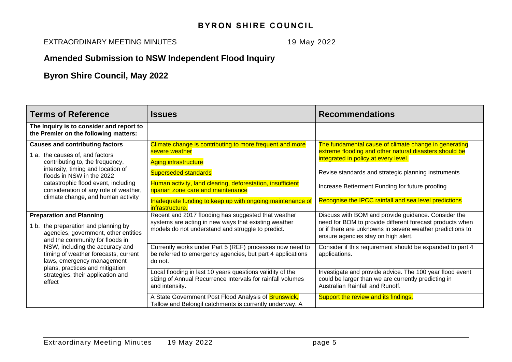EXTRAORDINARY MEETING MINUTES 19 May 2022

# **Amended Submission to NSW Independent Flood Inquiry**

# **Byron Shire Council, May 2022**

| <b>Terms of Reference</b>                                                                                                                                                                                                                                         | <b>Issues</b>                                                                                                                                                    | <b>Recommendations</b>                                                                                                                                                                                              |
|-------------------------------------------------------------------------------------------------------------------------------------------------------------------------------------------------------------------------------------------------------------------|------------------------------------------------------------------------------------------------------------------------------------------------------------------|---------------------------------------------------------------------------------------------------------------------------------------------------------------------------------------------------------------------|
| The Inquiry is to consider and report to<br>the Premier on the following matters:                                                                                                                                                                                 |                                                                                                                                                                  |                                                                                                                                                                                                                     |
| <b>Causes and contributing factors</b><br>the causes of, and factors<br>1 a.<br>contributing to, the frequency,<br>intensity, timing and location of<br>floods in NSW in the 2022<br>catastrophic flood event, including<br>consideration of any role of weather, | Climate change is contributing to more frequent and more<br>severe weather<br><b>Aging infrastructure</b>                                                        | The fundamental cause of climate change in generating<br>extreme flooding and other natural disasters should be<br>integrated in policy at every level.                                                             |
|                                                                                                                                                                                                                                                                   | <b>Superseded standards</b><br>Human activity, land clearing, deforestation, insufficient<br>riparian zone care and maintenance                                  | Revise standards and strategic planning instruments<br>Increase Betterment Funding for future proofing                                                                                                              |
| climate change, and human activity                                                                                                                                                                                                                                | Inadequate funding to keep up with ongoing maintenance of<br>infrastructure.                                                                                     | Recognise the IPCC rainfall and sea level predictions                                                                                                                                                               |
| <b>Preparation and Planning</b><br>the preparation and planning by<br>1 b.<br>agencies, government, other entities<br>and the community for floods in                                                                                                             | Recent and 2017 flooding has suggested that weather<br>systems are acting in new ways that existing weather<br>models do not understand and struggle to predict. | Discuss with BOM and provide guidance. Consider the<br>need for BOM to provide different forecast products when<br>or if there are unknowns in severe weather predictions to<br>ensure agencies stay on high alert. |
| NSW, including the accuracy and<br>timing of weather forecasts, current<br>laws, emergency management<br>plans, practices and mitigation                                                                                                                          | Currently works under Part 5 (REF) processes now need to<br>be referred to emergency agencies, but part 4 applications<br>do not.                                | Consider if this requirement should be expanded to part 4<br>applications.                                                                                                                                          |
| strategies, their application and<br>effect                                                                                                                                                                                                                       | Local flooding in last 10 years questions validity of the<br>sizing of Annual Recurrence Intervals for rainfall volumes<br>and intensity.                        | Investigate and provide advice. The 100 year flood event<br>could be larger than we are currently predicting in<br>Australian Rainfall and Runoff.                                                                  |
|                                                                                                                                                                                                                                                                   | A State Government Post Flood Analysis of <b>Brunswick</b> ,<br>Tallow and Belongil catchments is currently underway. A                                          | Support the review and its findings.                                                                                                                                                                                |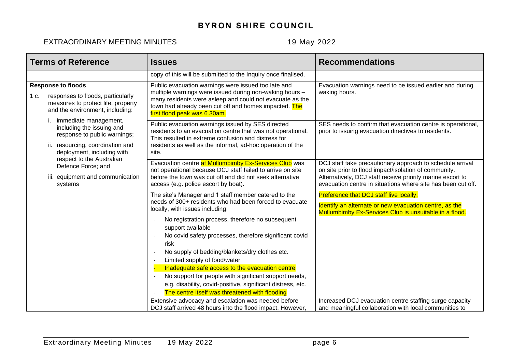| <b>Terms of Reference</b>                                                                                                                            | <b>Issues</b>                                                                                                                                                                                                                                                                                                                                                                                                                                                                                                                                                                                                | <b>Recommendations</b>                                                                                                                                                                                                                           |
|------------------------------------------------------------------------------------------------------------------------------------------------------|--------------------------------------------------------------------------------------------------------------------------------------------------------------------------------------------------------------------------------------------------------------------------------------------------------------------------------------------------------------------------------------------------------------------------------------------------------------------------------------------------------------------------------------------------------------------------------------------------------------|--------------------------------------------------------------------------------------------------------------------------------------------------------------------------------------------------------------------------------------------------|
|                                                                                                                                                      | copy of this will be submitted to the Inquiry once finalised.                                                                                                                                                                                                                                                                                                                                                                                                                                                                                                                                                |                                                                                                                                                                                                                                                  |
| <b>Response to floods</b><br>1 c.<br>responses to floods, particularly<br>measures to protect life, property<br>and the environment, including:      | Public evacuation warnings were issued too late and<br>multiple warnings were issued during non-waking hours -<br>many residents were asleep and could not evacuate as the<br>town had already been cut off and homes impacted. The<br>first flood peak was 6.30am.                                                                                                                                                                                                                                                                                                                                          | Evacuation warnings need to be issued earlier and during<br>waking hours.                                                                                                                                                                        |
| immediate management,<br>including the issuing and<br>response to public warnings;<br>ii. resourcing, coordination and<br>deployment, including with | Public evacuation warnings issued by SES directed<br>residents to an evacuation centre that was not operational.<br>This resulted in extreme confusion and distress for<br>residents as well as the informal, ad-hoc operation of the<br>site.                                                                                                                                                                                                                                                                                                                                                               | SES needs to confirm that evacuation centre is operational,<br>prior to issuing evacuation directives to residents.                                                                                                                              |
| respect to the Australian<br>Defence Force; and<br>iii. equipment and communication<br>systems                                                       | Evacuation centre at Mullumbimby Ex-Services Club was<br>not operational because DCJ staff failed to arrive on site<br>before the town was cut off and did not seek alternative<br>access (e.g. police escort by boat).                                                                                                                                                                                                                                                                                                                                                                                      | DCJ staff take precautionary approach to schedule arrival<br>on site prior to flood impact/isolation of community.<br>Alternatively, DCJ staff receive priority marine escort to<br>evacuation centre in situations where site has been cut off. |
|                                                                                                                                                      | The site's Manager and 1 staff member catered to the<br>needs of 300+ residents who had been forced to evacuate<br>locally, with issues including:<br>No registration process, therefore no subsequent<br>support available<br>No covid safety processes, therefore significant covid<br>risk<br>No supply of bedding/blankets/dry clothes etc.<br>Limited supply of food/water<br>Inadequate safe access to the evacuation centre<br>No support for people with significant support needs,<br>e.g. disability, covid-positive, significant distress, etc.<br>The centre itself was threatened with flooding | Preference that DCJ staff live locally.<br>Identify an alternate or new evacuation centre, as the<br>Mullumbimby Ex-Services Club is unsuitable in a flood.                                                                                      |
|                                                                                                                                                      | Extensive advocacy and escalation was needed before<br>DCJ staff arrived 48 hours into the flood impact. However,                                                                                                                                                                                                                                                                                                                                                                                                                                                                                            | Increased DCJ evacuation centre staffing surge capacity<br>and meaningful collaboration with local communities to                                                                                                                                |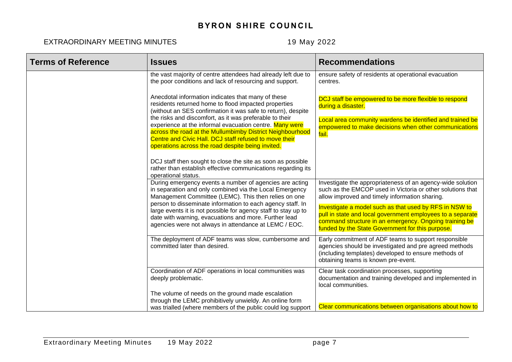| <b>Terms of Reference</b> | <b>Issues</b>                                                                                                                                                                                                                                                                                  | <b>Recommendations</b>                                                                                                                                                                                                             |
|---------------------------|------------------------------------------------------------------------------------------------------------------------------------------------------------------------------------------------------------------------------------------------------------------------------------------------|------------------------------------------------------------------------------------------------------------------------------------------------------------------------------------------------------------------------------------|
|                           | the vast majority of centre attendees had already left due to<br>the poor conditions and lack of resourcing and support.                                                                                                                                                                       | ensure safety of residents at operational evacuation<br>centres.                                                                                                                                                                   |
|                           | Anecdotal information indicates that many of these<br>residents returned home to flood impacted properties<br>(without an SES confirmation it was safe to return), despite                                                                                                                     | DCJ staff be empowered to be more flexible to respond<br>during a disaster.                                                                                                                                                        |
|                           | the risks and discomfort, as it was preferable to their<br>experience at the informal evacuation centre. Many were<br>across the road at the Mullumbimby District Neighbourhood<br>Centre and Civic Hall. DCJ staff refused to move their<br>operations across the road despite being invited. | Local area community wardens be identified and trained be<br>empowered to make decisions when other communications<br>fail.                                                                                                        |
|                           | DCJ staff then sought to close the site as soon as possible<br>rather than establish effective communications regarding its<br>operational status.                                                                                                                                             |                                                                                                                                                                                                                                    |
|                           | During emergency events a number of agencies are acting<br>in separation and only combined via the Local Emergency<br>Management Committee (LEMC). This then relies on one                                                                                                                     | Investigate the appropriateness of an agency-wide solution<br>such as the EMCOP used in Victoria or other solutions that<br>allow improved and timely information sharing.                                                         |
|                           | person to disseminate information to each agency staff. In<br>large events it is not possible for agency staff to stay up to<br>date with warning, evacuations and more. Further lead<br>agencies were not always in attendance at LEMC / EOC.                                                 | Investigate a model such as that used by RFS in NSW to<br>pull in state and local government employees to a separate<br>command structure in an emergency. Ongoing training be<br>funded by the State Government for this purpose. |
|                           | The deployment of ADF teams was slow, cumbersome and<br>committed later than desired.                                                                                                                                                                                                          | Early commitment of ADF teams to support responsible<br>agencies should be investigated and pre agreed methods<br>(including templates) developed to ensure methods of<br>obtaining teams is known pre-event.                      |
|                           | Coordination of ADF operations in local communities was<br>deeply problematic.                                                                                                                                                                                                                 | Clear task coordination processes, supporting<br>documentation and training developed and implemented in<br>local communities.                                                                                                     |
|                           | The volume of needs on the ground made escalation<br>through the LEMC prohibitively unwieldy. An online form<br>was trialled (where members of the public could log support                                                                                                                    | Clear communications between organisations about how to                                                                                                                                                                            |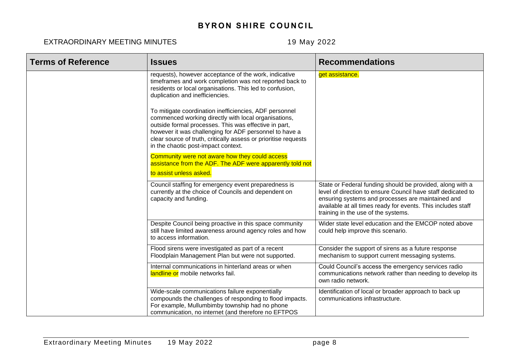| <b>Terms of Reference</b> | <b>Issues</b>                                                                                                                                                                                                                                                                                                                               | <b>Recommendations</b>                                                                                                                                                                                                                                                                |
|---------------------------|---------------------------------------------------------------------------------------------------------------------------------------------------------------------------------------------------------------------------------------------------------------------------------------------------------------------------------------------|---------------------------------------------------------------------------------------------------------------------------------------------------------------------------------------------------------------------------------------------------------------------------------------|
|                           | requests), however acceptance of the work, indicative<br>timeframes and work completion was not reported back to<br>residents or local organisations. This led to confusion,<br>duplication and inefficiencies.                                                                                                                             | get assistance.                                                                                                                                                                                                                                                                       |
|                           | To mitigate coordination inefficiencies, ADF personnel<br>commenced working directly with local organisations,<br>outside formal processes. This was effective in part,<br>however it was challenging for ADF personnel to have a<br>clear source of truth, critically assess or prioritise requests<br>in the chaotic post-impact context. |                                                                                                                                                                                                                                                                                       |
|                           | Community were not aware how they could access<br>assistance from the ADF. The ADF were apparently told not<br>to assist unless asked.                                                                                                                                                                                                      |                                                                                                                                                                                                                                                                                       |
|                           | Council staffing for emergency event preparedness is<br>currently at the choice of Councils and dependent on<br>capacity and funding.                                                                                                                                                                                                       | State or Federal funding should be provided, along with a<br>level of direction to ensure Council have staff dedicated to<br>ensuring systems and processes are maintained and<br>available at all times ready for events. This includes staff<br>training in the use of the systems. |
|                           | Despite Council being proactive in this space community<br>still have limited awareness around agency roles and how<br>to access information.                                                                                                                                                                                               | Wider state level education and the EMCOP noted above<br>could help improve this scenario.                                                                                                                                                                                            |
|                           | Flood sirens were investigated as part of a recent<br>Floodplain Management Plan but were not supported.                                                                                                                                                                                                                                    | Consider the support of sirens as a future response<br>mechanism to support current messaging systems.                                                                                                                                                                                |
|                           | Internal communications in hinterland areas or when<br>landline or mobile networks fail.                                                                                                                                                                                                                                                    | Could Council's access the emergency services radio<br>communications network rather than needing to develop its<br>own radio network.                                                                                                                                                |
|                           | Wide-scale communications failure exponentially<br>compounds the challenges of responding to flood impacts.<br>For example, Mullumbimby township had no phone<br>communication, no internet (and therefore no EFTPOS                                                                                                                        | Identification of local or broader approach to back up<br>communications infrastructure.                                                                                                                                                                                              |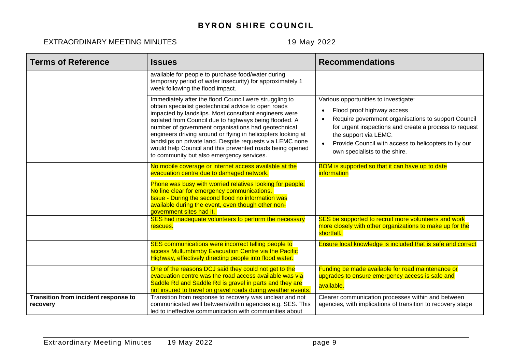| <b>Terms of Reference</b>                        | <b>Issues</b>                                                                                                                                                                                                                                                                                                                                                                                                                                                                                                                 | <b>Recommendations</b>                                                                                                                                                                                                                                                                                                                         |
|--------------------------------------------------|-------------------------------------------------------------------------------------------------------------------------------------------------------------------------------------------------------------------------------------------------------------------------------------------------------------------------------------------------------------------------------------------------------------------------------------------------------------------------------------------------------------------------------|------------------------------------------------------------------------------------------------------------------------------------------------------------------------------------------------------------------------------------------------------------------------------------------------------------------------------------------------|
|                                                  | available for people to purchase food/water during<br>temporary period of water insecurity) for approximately 1<br>week following the flood impact.                                                                                                                                                                                                                                                                                                                                                                           |                                                                                                                                                                                                                                                                                                                                                |
|                                                  | Immediately after the flood Council were struggling to<br>obtain specialist geotechnical advice to open roads<br>impacted by landslips. Most consultant engineers were<br>isolated from Council due to highways being flooded. A<br>number of government organisations had geotechnical<br>engineers driving around or flying in helicopters looking at<br>landslips on private land. Despite requests via LEMC none<br>would help Council and this prevented roads being opened<br>to community but also emergency services. | Various opportunities to investigate:<br>Flood proof highway access<br>$\bullet$<br>Require government organisations to support Council<br>$\bullet$<br>for urgent inspections and create a process to request<br>the support via LEMC.<br>Provide Council with access to helicopters to fly our<br>$\bullet$<br>own specialists to the shire. |
|                                                  | No mobile coverage or internet access available at the<br>evacuation centre due to damaged network.                                                                                                                                                                                                                                                                                                                                                                                                                           | BOM is supported so that it can have up to date<br>information                                                                                                                                                                                                                                                                                 |
|                                                  | Phone was busy with worried relatives looking for people.<br>No line clear for emergency communications.<br><b>Issue - During the second flood no information was</b><br>available during the event, even though other non-<br>government sites had it.                                                                                                                                                                                                                                                                       |                                                                                                                                                                                                                                                                                                                                                |
|                                                  | SES had inadequate volunteers to perform the necessary<br>rescues.                                                                                                                                                                                                                                                                                                                                                                                                                                                            | SES be supported to recruit more volunteers and work<br>more closely with other organizations to make up for the<br>shortfall.                                                                                                                                                                                                                 |
|                                                  | SES communications were incorrect telling people to<br>access Mullumbimby Evacuation Centre via the Pacific<br>Highway, effectively directing people into flood water.                                                                                                                                                                                                                                                                                                                                                        | Ensure local knowledge is included that is safe and correct                                                                                                                                                                                                                                                                                    |
|                                                  | One of the reasons DCJ said they could not get to the<br>evacuation centre was the road access available was via<br>Saddle Rd and Saddle Rd is gravel in parts and they are<br>not insured to travel on gravel roads during weather events.                                                                                                                                                                                                                                                                                   | Funding be made available for road maintenance or<br>upgrades to ensure emergency access is safe and<br>available.                                                                                                                                                                                                                             |
| Transition from incident response to<br>recovery | Transition from response to recovery was unclear and not<br>communicated well between/within agencies e.g. SES. This<br>led to ineffective communication with communities about                                                                                                                                                                                                                                                                                                                                               | Clearer communication processes within and between<br>agencies, with implications of transition to recovery stage                                                                                                                                                                                                                              |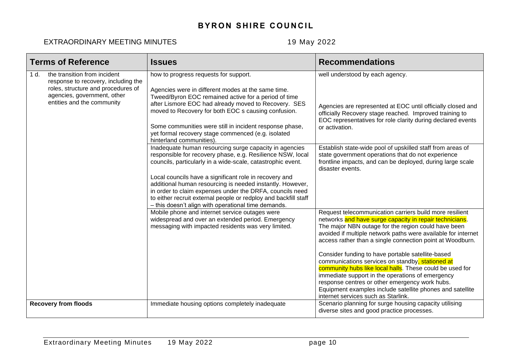| <b>Terms of Reference</b> |                                                                                                                                                                        | <b>Issues</b>                                                                                                                                                                                                                                                                                                                                                                                                                                                                                                                                                                                                                                                                                                                                                                                                                                                                                                       | <b>Recommendations</b>                                                                                                                                                                                                                                                                                                                                                                                                                                                                                                                                                                                                                                                                 |
|---------------------------|------------------------------------------------------------------------------------------------------------------------------------------------------------------------|---------------------------------------------------------------------------------------------------------------------------------------------------------------------------------------------------------------------------------------------------------------------------------------------------------------------------------------------------------------------------------------------------------------------------------------------------------------------------------------------------------------------------------------------------------------------------------------------------------------------------------------------------------------------------------------------------------------------------------------------------------------------------------------------------------------------------------------------------------------------------------------------------------------------|----------------------------------------------------------------------------------------------------------------------------------------------------------------------------------------------------------------------------------------------------------------------------------------------------------------------------------------------------------------------------------------------------------------------------------------------------------------------------------------------------------------------------------------------------------------------------------------------------------------------------------------------------------------------------------------|
| 1 d.                      | the transition from incident<br>response to recovery, including the<br>roles, structure and procedures of<br>agencies, government, other<br>entities and the community | how to progress requests for support.<br>Agencies were in different modes at the same time.<br>Tweed/Byron EOC remained active for a period of time<br>after Lismore EOC had already moved to Recovery. SES<br>moved to Recovery for both EOC s causing confusion.<br>Some communities were still in incident response phase,<br>yet formal recovery stage commenced (e.g. isolated<br>hinterland communities).<br>Inadequate human resourcing surge capacity in agencies<br>responsible for recovery phase, e.g. Resilience NSW, local<br>councils, particularly in a wide-scale, catastrophic event.<br>Local councils have a significant role in recovery and<br>additional human resourcing is needed instantly. However,<br>in order to claim expenses under the DRFA, councils need<br>to either recruit external people or redploy and backfill staff<br>- this doesn't align with operational time demands. | well understood by each agency.<br>Agencies are represented at EOC until officially closed and<br>officially Recovery stage reached. Improved training to<br>EOC representatives for role clarity during declared events<br>or activation.<br>Establish state-wide pool of upskilled staff from areas of<br>state government operations that do not experience<br>frontline impacts, and can be deployed, during large scale<br>disaster events.                                                                                                                                                                                                                                       |
|                           |                                                                                                                                                                        | Mobile phone and internet service outages were<br>widespread and over an extended period. Emergency<br>messaging with impacted residents was very limited.                                                                                                                                                                                                                                                                                                                                                                                                                                                                                                                                                                                                                                                                                                                                                          | Request telecommunication carriers build more resilient<br>networks and have surge capacity in repair technicians.<br>The major NBN outage for the region could have been<br>avoided if multiple network paths were available for internet<br>access rather than a single connection point at Woodburn.<br>Consider funding to have portable satellite-based<br>communications services on standby, stationed at<br>community hubs like local halls. These could be used for<br>immediate support in the operations of emergency<br>response centres or other emergency work hubs.<br>Equipment examples include satellite phones and satellite<br>internet services such as Starlink. |
|                           | <b>Recovery from floods</b>                                                                                                                                            | Immediate housing options completely inadequate                                                                                                                                                                                                                                                                                                                                                                                                                                                                                                                                                                                                                                                                                                                                                                                                                                                                     | Scenario planning for surge housing capacity utilising<br>diverse sites and good practice processes.                                                                                                                                                                                                                                                                                                                                                                                                                                                                                                                                                                                   |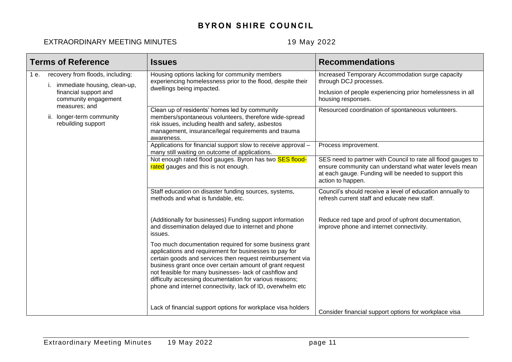|      | <b>Terms of Reference</b>                                                                                         | <b>Issues</b>                                                                                                                                                                                                                                                                                                                                                                                                                 | <b>Recommendations</b>                                                                                                                                                                               |
|------|-------------------------------------------------------------------------------------------------------------------|-------------------------------------------------------------------------------------------------------------------------------------------------------------------------------------------------------------------------------------------------------------------------------------------------------------------------------------------------------------------------------------------------------------------------------|------------------------------------------------------------------------------------------------------------------------------------------------------------------------------------------------------|
| 1 e. | recovery from floods, including:<br>immediate housing, clean-up,<br>financial support and<br>community engagement | Housing options lacking for community members<br>experiencing homelessness prior to the flood, despite their<br>dwellings being impacted.                                                                                                                                                                                                                                                                                     | Increased Temporary Accommodation surge capacity<br>through DCJ processes.<br>Inclusion of people experiencing prior homelessness in all<br>housing responses.                                       |
|      | measures; and<br>ii. longer-term community<br>rebuilding support                                                  | Clean up of residents' homes led by community<br>members/spontaneous volunteers, therefore wide-spread<br>risk issues, including health and safety, asbestos<br>management, insurance/legal requirements and trauma<br>awareness.                                                                                                                                                                                             | Resourced coordination of spontaneous volunteers.                                                                                                                                                    |
|      |                                                                                                                   | Applications for financial support slow to receive approval -<br>many still waiting on outcome of applications.                                                                                                                                                                                                                                                                                                               | Process improvement.                                                                                                                                                                                 |
|      |                                                                                                                   | Not enough rated flood gauges. Byron has two SES flood-<br>rated gauges and this is not enough.                                                                                                                                                                                                                                                                                                                               | SES need to partner with Council to rate all flood gauges to<br>ensure community can understand what water levels mean<br>at each gauge. Funding will be needed to support this<br>action to happen. |
|      |                                                                                                                   | Staff education on disaster funding sources, systems,<br>methods and what is fundable, etc.                                                                                                                                                                                                                                                                                                                                   | Council's should receive a level of education annually to<br>refresh current staff and educate new staff.                                                                                            |
|      |                                                                                                                   | (Additionally for businesses) Funding support information<br>and dissemination delayed due to internet and phone<br>issues.                                                                                                                                                                                                                                                                                                   | Reduce red tape and proof of upfront documentation,<br>improve phone and internet connectivity.                                                                                                      |
|      |                                                                                                                   | Too much documentation required for some business grant<br>applications and requirement for businesses to pay for<br>certain goods and services then request reimbursement via<br>business grant once over certain amount of grant request<br>not feasible for many businesses- lack of cashflow and<br>difficulty accessing documentation for various reasons;<br>phone and internet connectivity, lack of ID, overwhelm etc |                                                                                                                                                                                                      |
|      |                                                                                                                   | Lack of financial support options for workplace visa holders                                                                                                                                                                                                                                                                                                                                                                  | Consider financial support options for workplace visa                                                                                                                                                |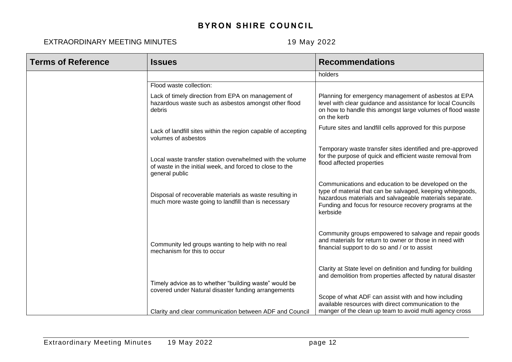| <b>Terms of Reference</b> | <b>Issues</b>                                                                                                                          | <b>Recommendations</b>                                                                                                                                                                                                                              |
|---------------------------|----------------------------------------------------------------------------------------------------------------------------------------|-----------------------------------------------------------------------------------------------------------------------------------------------------------------------------------------------------------------------------------------------------|
|                           |                                                                                                                                        | holders                                                                                                                                                                                                                                             |
|                           | Flood waste collection:                                                                                                                |                                                                                                                                                                                                                                                     |
|                           | Lack of timely direction from EPA on management of<br>hazardous waste such as asbestos amongst other flood<br>debris                   | Planning for emergency management of asbestos at EPA<br>level with clear guidance and assistance for local Councils<br>on how to handle this amongst large volumes of flood waste<br>on the kerb                                                    |
|                           | Lack of landfill sites within the region capable of accepting<br>volumes of asbestos                                                   | Future sites and landfill cells approved for this purpose                                                                                                                                                                                           |
|                           | Local waste transfer station overwhelmed with the volume<br>of waste in the initial week, and forced to close to the<br>general public | Temporary waste transfer sites identified and pre-approved<br>for the purpose of quick and efficient waste removal from<br>flood affected properties                                                                                                |
|                           | Disposal of recoverable materials as waste resulting in<br>much more waste going to landfill than is necessary                         | Communications and education to be developed on the<br>type of material that can be salvaged, keeping whitegoods,<br>hazardous materials and salvageable materials separate.<br>Funding and focus for resource recovery programs at the<br>kerbside |
|                           | Community led groups wanting to help with no real<br>mechanism for this to occur                                                       | Community groups empowered to salvage and repair goods<br>and materials for return to owner or those in need with<br>financial support to do so and / or to assist                                                                                  |
|                           | Timely advice as to whether "building waste" would be<br>covered under Natural disaster funding arrangements                           | Clarity at State level on definition and funding for building<br>and demolition from properties affected by natural disaster<br>Scope of what ADF can assist with and how including                                                                 |
|                           | Clarity and clear communication between ADF and Council                                                                                | available resources with direct communication to the<br>manger of the clean up team to avoid multi agency cross                                                                                                                                     |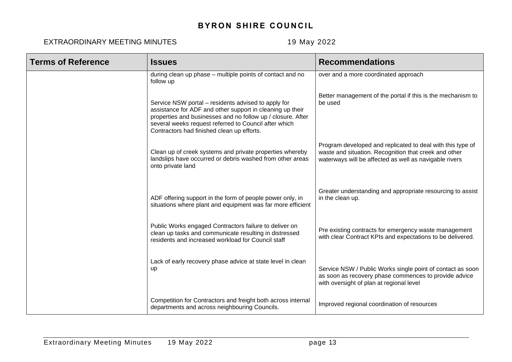| <b>Terms of Reference</b> | <b>Issues</b>                                                                                                                                                                                                                                                                          | <b>Recommendations</b>                                                                                                                                                        |
|---------------------------|----------------------------------------------------------------------------------------------------------------------------------------------------------------------------------------------------------------------------------------------------------------------------------------|-------------------------------------------------------------------------------------------------------------------------------------------------------------------------------|
|                           | during clean up phase - multiple points of contact and no<br>follow up                                                                                                                                                                                                                 | over and a more coordinated approach                                                                                                                                          |
|                           | Service NSW portal – residents advised to apply for<br>assistance for ADF and other support in cleaning up their<br>properties and businesses and no follow up / closure. After<br>several weeks request referred to Council after which<br>Contractors had finished clean up efforts. | Better management of the portal if this is the mechanism to<br>be used                                                                                                        |
|                           | Clean up of creek systems and private properties whereby<br>landslips have occurred or debris washed from other areas<br>onto private land                                                                                                                                             | Program developed and replicated to deal with this type of<br>waste and situation. Recognition that creek and other<br>waterways will be affected as well as navigable rivers |
|                           | ADF offering support in the form of people power only, in<br>situations where plant and equipment was far more efficient                                                                                                                                                               | Greater understanding and appropriate resourcing to assist<br>in the clean up.                                                                                                |
|                           | Public Works engaged Contractors failure to deliver on<br>clean up tasks and communicate resulting in distressed<br>residents and increased workload for Council staff                                                                                                                 | Pre existing contracts for emergency waste management<br>with clear Contract KPIs and expectations to be delivered.                                                           |
|                           | Lack of early recovery phase advice at state level in clean<br>up                                                                                                                                                                                                                      | Service NSW / Public Works single point of contact as soon<br>as soon as recovery phase commences to provide advice<br>with oversight of plan at regional level               |
|                           | Competition for Contractors and freight both across internal<br>departments and across neighbouring Councils.                                                                                                                                                                          | Improved regional coordination of resources                                                                                                                                   |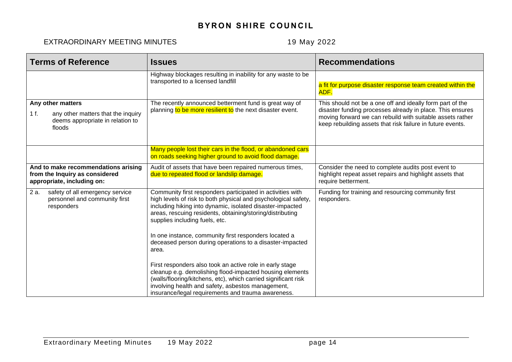| <b>Terms of Reference</b>                                                                                     | <b>Issues</b>                                                                                                                                                                                                                                                                                     | <b>Recommendations</b>                                                                                                                                                                                                                            |
|---------------------------------------------------------------------------------------------------------------|---------------------------------------------------------------------------------------------------------------------------------------------------------------------------------------------------------------------------------------------------------------------------------------------------|---------------------------------------------------------------------------------------------------------------------------------------------------------------------------------------------------------------------------------------------------|
|                                                                                                               | Highway blockages resulting in inability for any waste to be<br>transported to a licensed landfill                                                                                                                                                                                                | a fit for purpose disaster response team created within the<br>ADF.                                                                                                                                                                               |
| Any other matters<br>1 f.<br>any other matters that the inquiry<br>deems appropriate in relation to<br>floods | The recently announced betterment fund is great way of<br>planning to be more resilient to the next disaster event.                                                                                                                                                                               | This should not be a one off and ideally form part of the<br>disaster funding processes already in place. This ensures<br>moving forward we can rebuild with suitable assets rather<br>keep rebuilding assets that risk failure in future events. |
|                                                                                                               | Many people lost their cars in the flood, or abandoned cars<br>on roads seeking higher ground to avoid flood damage.                                                                                                                                                                              |                                                                                                                                                                                                                                                   |
| And to make recommendations arising<br>from the Inquiry as considered<br>appropriate, including on:           | Audit of assets that have been repaired numerous times,<br>due to repeated flood or landslip damage.                                                                                                                                                                                              | Consider the need to complete audits post event to<br>highlight repeat asset repairs and highlight assets that<br>require betterment.                                                                                                             |
| 2 a.<br>safety of all emergency service<br>personnel and community first<br>responders                        | Community first responders participated in activities with<br>high levels of risk to both physical and psychological safety,<br>including hiking into dynamic, isolated disaster-impacted<br>areas, rescuing residents, obtaining/storing/distributing<br>supplies including fuels, etc.          | Funding for training and resourcing community first<br>responders.                                                                                                                                                                                |
|                                                                                                               | In one instance, community first responders located a<br>deceased person during operations to a disaster-impacted<br>area.                                                                                                                                                                        |                                                                                                                                                                                                                                                   |
|                                                                                                               | First responders also took an active role in early stage<br>cleanup e.g. demolishing flood-impacted housing elements<br>(walls/flooring/kitchens, etc), which carried significant risk<br>involving health and safety, asbestos management,<br>insurance/legal requirements and trauma awareness. |                                                                                                                                                                                                                                                   |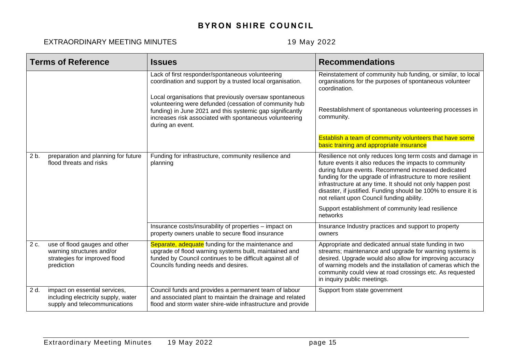|        | <b>Terms of Reference</b>                                                                                 | <b>Issues</b>                                                                                                                                                                                                                                                 | <b>Recommendations</b>                                                                                                                                                                                                                                                                                                                                                                                                 |
|--------|-----------------------------------------------------------------------------------------------------------|---------------------------------------------------------------------------------------------------------------------------------------------------------------------------------------------------------------------------------------------------------------|------------------------------------------------------------------------------------------------------------------------------------------------------------------------------------------------------------------------------------------------------------------------------------------------------------------------------------------------------------------------------------------------------------------------|
|        |                                                                                                           | Lack of first responder/spontaneous volunteering<br>coordination and support by a trusted local organisation.                                                                                                                                                 | Reinstatement of community hub funding, or similar, to local<br>organisations for the purposes of spontaneous volunteer<br>coordination.                                                                                                                                                                                                                                                                               |
|        |                                                                                                           | Local organisations that previously oversaw spontaneous<br>volunteering were defunded (cessation of community hub<br>funding) in June 2021 and this systemic gap significantly<br>increases risk associated with spontaneous volunteering<br>during an event. | Reestablishment of spontaneous volunteering processes in<br>community.                                                                                                                                                                                                                                                                                                                                                 |
|        |                                                                                                           |                                                                                                                                                                                                                                                               | Establish a team of community volunteers that have some<br>basic training and appropriate insurance                                                                                                                                                                                                                                                                                                                    |
| $2b$ . | preparation and planning for future<br>flood threats and risks                                            | Funding for infrastructure, community resilience and<br>planning                                                                                                                                                                                              | Resilience not only reduces long term costs and damage in<br>future events it also reduces the impacts to community<br>during future events. Recommend increased dedicated<br>funding for the upgrade of infrastructure to more resilient<br>infrastructure at any time. It should not only happen post<br>disaster, if justified. Funding should be 100% to ensure it is<br>not reliant upon Council funding ability. |
|        |                                                                                                           |                                                                                                                                                                                                                                                               | Support establishment of community lead resilience<br>networks                                                                                                                                                                                                                                                                                                                                                         |
|        |                                                                                                           | Insurance costs/insurability of properties - impact on<br>property owners unable to secure flood insurance                                                                                                                                                    | Insurance Industry practices and support to property<br>owners                                                                                                                                                                                                                                                                                                                                                         |
| 2 c.   | use of flood gauges and other<br>warning structures and/or<br>strategies for improved flood<br>prediction | Separate, adequate funding for the maintenance and<br>upgrade of flood warning systems built, maintained and<br>funded by Council continues to be difficult against all of<br>Councils funding needs and desires.                                             | Appropriate and dedicated annual state funding in two<br>streams; maintenance and upgrade for warning systems is<br>desired. Upgrade would also allow for improving accuracy<br>of warning models and the installation of cameras which the<br>community could view at road crossings etc. As requested<br>in inquiry public meetings.                                                                                 |
| 2 d.   | impact on essential services,<br>including electricity supply, water<br>supply and telecommunications     | Council funds and provides a permanent team of labour<br>and associated plant to maintain the drainage and related<br>flood and storm water shire-wide infrastructure and provide                                                                             | Support from state government                                                                                                                                                                                                                                                                                                                                                                                          |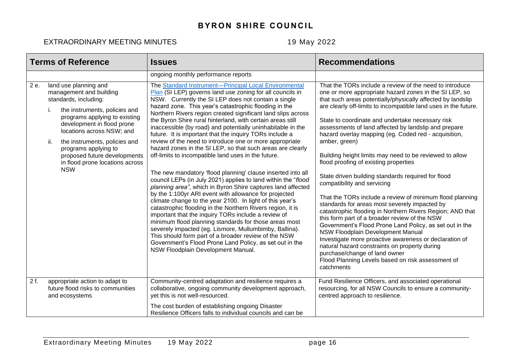|      | <b>Terms of Reference</b>                                                                                                                                                                                                                                                                                                                                     | <b>Issues</b>                                                                                                                                                                                                                                                                                                                                                                                                                                                                                                                                                                                                                                                                                                                                                                                                                                                                                                                                                                                                                                                                                                                                                                                                                                                                                                                                                                                   | <b>Recommendations</b>                                                                                                                                                                                                                                                                                                                                                                                                                                                                                                                                                                                                                                                                                                                                                                                                                                                                                                                                                                                                                                                                                                                                                      |
|------|---------------------------------------------------------------------------------------------------------------------------------------------------------------------------------------------------------------------------------------------------------------------------------------------------------------------------------------------------------------|-------------------------------------------------------------------------------------------------------------------------------------------------------------------------------------------------------------------------------------------------------------------------------------------------------------------------------------------------------------------------------------------------------------------------------------------------------------------------------------------------------------------------------------------------------------------------------------------------------------------------------------------------------------------------------------------------------------------------------------------------------------------------------------------------------------------------------------------------------------------------------------------------------------------------------------------------------------------------------------------------------------------------------------------------------------------------------------------------------------------------------------------------------------------------------------------------------------------------------------------------------------------------------------------------------------------------------------------------------------------------------------------------|-----------------------------------------------------------------------------------------------------------------------------------------------------------------------------------------------------------------------------------------------------------------------------------------------------------------------------------------------------------------------------------------------------------------------------------------------------------------------------------------------------------------------------------------------------------------------------------------------------------------------------------------------------------------------------------------------------------------------------------------------------------------------------------------------------------------------------------------------------------------------------------------------------------------------------------------------------------------------------------------------------------------------------------------------------------------------------------------------------------------------------------------------------------------------------|
|      |                                                                                                                                                                                                                                                                                                                                                               | ongoing monthly performance reports                                                                                                                                                                                                                                                                                                                                                                                                                                                                                                                                                                                                                                                                                                                                                                                                                                                                                                                                                                                                                                                                                                                                                                                                                                                                                                                                                             |                                                                                                                                                                                                                                                                                                                                                                                                                                                                                                                                                                                                                                                                                                                                                                                                                                                                                                                                                                                                                                                                                                                                                                             |
| 2 e. | land use planning and<br>management and building<br>standards, including:<br>the instruments, policies and<br>i.<br>programs applying to existing<br>development in flood prone<br>locations across NSW; and<br>ii.<br>the instruments, policies and<br>programs applying to<br>proposed future developments<br>in flood prone locations across<br><b>NSW</b> | The Standard Instrument-Principal Local Environmental<br>Plan (SI LEP) governs land use zoning for all councils in<br>NSW. Currently the SI LEP does not contain a single<br>hazard zone. This year's catastrophic flooding in the<br>Northern Rivers region created significant land slips across<br>the Byron Shire rural hinterland, with certain areas still<br>inaccessible (by road) and potentially uninhabitable in the<br>future. It is important that the inquiry TORs include a<br>review of the need to introduce one or more appropriate<br>hazard zones in the SI LEP, so that such areas are clearly<br>off-limits to incompatible land uses in the future.<br>The new mandatory 'flood planning' clause inserted into all<br>council LEPs (in July 2021) applies to land within the "flood<br>planning area", which in Byron Shire captures land affected<br>by the 1:100yr ARI event with allowance for projected<br>climate change to the year 2100. In light of this year's<br>catastrophic flooding in the Northern Rivers region, it is<br>important that the inquiry TORs include a review of<br>minimum flood planning standards for those areas most<br>severely impacted (eg. Lismore, Mullumbimby, Ballina).<br>This should form part of a broader review of the NSW<br>Government's Flood Prone Land Policy, as set out in the<br>NSW Floodplain Development Manual. | That the TORs include a review of the need to introduce<br>one or more appropriate hazard zones in the SI LEP, so<br>that such areas potentially/physically affected by landslip<br>are clearly off-limits to incompatible land uses in the future.<br>State to coordinate and undertake necessary risk<br>assessments of land affected by landslip and prepare<br>hazard overlay mapping (eg. Coded red - acquisition,<br>amber, green)<br>Building height limits may need to be reviewed to allow<br>flood proofing of existing properties<br>State driven building standards required for flood<br>compatibility and servicing<br>That the TORs include a review of minimum flood planning<br>standards for areas most severely impacted by<br>catastrophic flooding in Northern Rivers Region; AND that<br>this form part of a broader review of the NSW<br>Government's Flood Prone Land Policy, as set out in the<br>NSW Floodplain Development Manual<br>Investigate more proactive awareness or declaration of<br>natural hazard constraints on property during<br>purchase/change of land owner<br>Flood Planning Levels based on risk assessment of<br>catchments |
| 2f.  | appropriate action to adapt to<br>future flood risks to communities<br>and ecosystems                                                                                                                                                                                                                                                                         | Community-centred adaptation and resilience requires a<br>collaborative, ongoing community development approach,<br>yet this is not well-resourced.<br>The cost burden of establishing ongoing Disaster                                                                                                                                                                                                                                                                                                                                                                                                                                                                                                                                                                                                                                                                                                                                                                                                                                                                                                                                                                                                                                                                                                                                                                                         | Fund Resilience Officers, and associated operational<br>resourcing, for all NSW Councils to ensure a community-<br>centred approach to resilience.                                                                                                                                                                                                                                                                                                                                                                                                                                                                                                                                                                                                                                                                                                                                                                                                                                                                                                                                                                                                                          |
|      |                                                                                                                                                                                                                                                                                                                                                               | Resilience Officers falls to individual councils and can be                                                                                                                                                                                                                                                                                                                                                                                                                                                                                                                                                                                                                                                                                                                                                                                                                                                                                                                                                                                                                                                                                                                                                                                                                                                                                                                                     |                                                                                                                                                                                                                                                                                                                                                                                                                                                                                                                                                                                                                                                                                                                                                                                                                                                                                                                                                                                                                                                                                                                                                                             |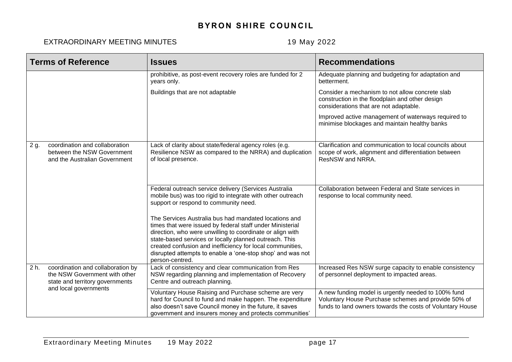| <b>Terms of Reference</b> |                                                                                                       | <b>Issues</b>                                                                                                                                                                                                                                                                                                                                                                           | <b>Recommendations</b>                                                                                                                                                  |
|---------------------------|-------------------------------------------------------------------------------------------------------|-----------------------------------------------------------------------------------------------------------------------------------------------------------------------------------------------------------------------------------------------------------------------------------------------------------------------------------------------------------------------------------------|-------------------------------------------------------------------------------------------------------------------------------------------------------------------------|
|                           |                                                                                                       | prohibitive, as post-event recovery roles are funded for 2<br>years only.                                                                                                                                                                                                                                                                                                               | Adequate planning and budgeting for adaptation and<br>betterment.                                                                                                       |
|                           |                                                                                                       | Buildings that are not adaptable                                                                                                                                                                                                                                                                                                                                                        | Consider a mechanism to not allow concrete slab<br>construction in the floodplain and other design<br>considerations that are not adaptable.                            |
|                           |                                                                                                       |                                                                                                                                                                                                                                                                                                                                                                                         | Improved active management of waterways required to<br>minimise blockages and maintain healthy banks                                                                    |
| 2 g.                      | coordination and collaboration<br>between the NSW Government<br>and the Australian Government         | Lack of clarity about state/federal agency roles (e.g.<br>Resilience NSW as compared to the NRRA) and duplication<br>of local presence.                                                                                                                                                                                                                                                 | Clarification and communication to local councils about<br>scope of work, alignment and differentiation between<br>ResNSW and NRRA.                                     |
|                           |                                                                                                       | Federal outreach service delivery (Services Australia<br>mobile bus) was too rigid to integrate with other outreach<br>support or respond to community need.                                                                                                                                                                                                                            | Collaboration between Federal and State services in<br>response to local community need.                                                                                |
|                           |                                                                                                       | The Services Australia bus had mandated locations and<br>times that were issued by federal staff under Ministerial<br>direction, who were unwilling to coordinate or align with<br>state-based services or locally planned outreach. This<br>created confusion and inefficiency for local communities,<br>disrupted attempts to enable a 'one-stop shop' and was not<br>person-centred. |                                                                                                                                                                         |
| $2h$ .                    | coordination and collaboration by<br>the NSW Government with other<br>state and territory governments | Lack of consistency and clear communication from Res<br>NSW regarding planning and implementation of Recovery<br>Centre and outreach planning.                                                                                                                                                                                                                                          | Increased Res NSW surge capacity to enable consistency<br>of personnel deployment to impacted areas.                                                                    |
|                           | and local governments                                                                                 | Voluntary House Raising and Purchase scheme are very<br>hard for Council to fund and make happen. The expenditure<br>also doesn't save Council money in the future, it saves<br>government and insurers money and protects communities'                                                                                                                                                 | A new funding model is urgently needed to 100% fund<br>Voluntary House Purchase schemes and provide 50% of<br>funds to land owners towards the costs of Voluntary House |